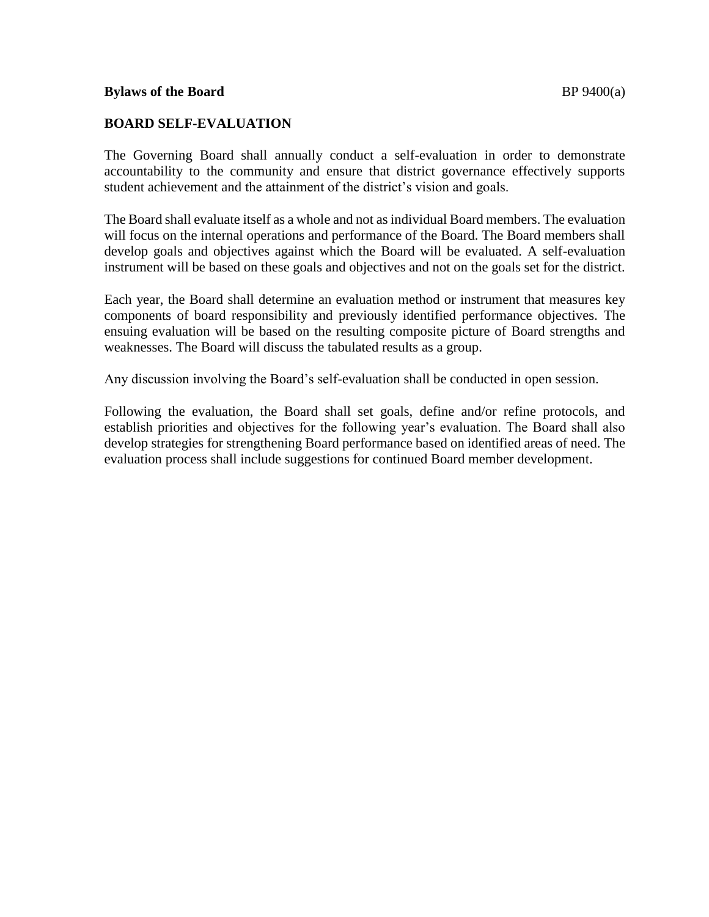## **BOARD SELF-EVALUATION**

The Governing Board shall annually conduct a self-evaluation in order to demonstrate accountability to the community and ensure that district governance effectively supports 6 student achievement and the attainment of the district's vision and goals.

The Board shall evaluate itself as a whole and not as individual Board members. The evaluation 9 will focus on the internal operations and performance of the Board. The Board members shall develop goals and objectives against which the Board will be evaluated. A self-evaluation 11 instrument will be based on these goals and objectives and not on the goals set for the district.

Each year, the Board shall determine an evaluation method or instrument that measures key 14 components of board responsibility and previously identified performance objectives. The ensuing evaluation will be based on the resulting composite picture of Board strengths and 16 weaknesses. The Board will discuss the tabulated results as a group. 17

Any discussion involving the Board's self-evaluation shall be conducted in open session. 19

Following the evaluation, the Board shall set goals, define and/or refine protocols, and establish priorities and objectives for the following year's evaluation. The Board shall also develop strategies for strengthening Board performance based on identified areas of need. The evaluation process shall include suggestions for continued Board member development.